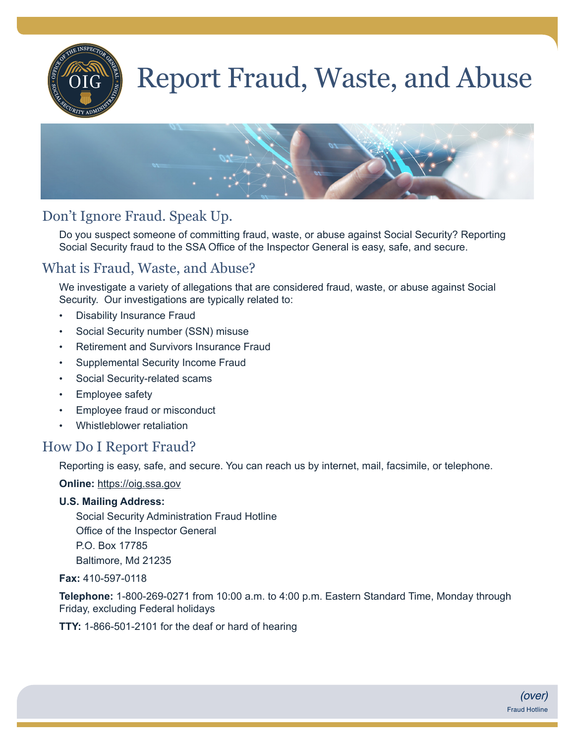

# Report Fraud, Waste, and Abuse



# Don't Ignore Fraud. Speak Up.

Do you suspect someone of committing fraud, waste, or abuse against Social Security? Reporting Social Security fraud to the SSA Office of the Inspector General is easy, safe, and secure.

# What is Fraud, Waste, and Abuse?

We investigate a variety of allegations that are considered fraud, waste, or abuse against Social Security. Our investigations are typically related to:

- Disability Insurance Fraud
- Social Security number (SSN) misuse
- Retirement and Survivors Insurance Fraud
- Supplemental Security Income Fraud
- Social Security-related scams
- Employee safety
- Employee fraud or misconduct
- Whistleblower retaliation

#### How Do I Report Fraud?

Reporting is easy, safe, and secure. You can reach us by internet, mail, facsimile, or telephone.

**Online:** [https://oig.ssa.gov](http://socialsecurity.gov/myaccount)

#### **U.S. Mailing Address:**

Social Security Administration Fraud Hotline Office of the Inspector General P.O. Box 17785 Baltimore, Md 21235

**Fax:** 410-597-0118

**Telephone:** 1-800-269-0271 from 10:00 a.m. to 4:00 p.m. Eastern Standard Time, Monday through Friday, excluding Federal holidays

**TTY:** 1-866-501-2101 for the deaf or hard of hearing